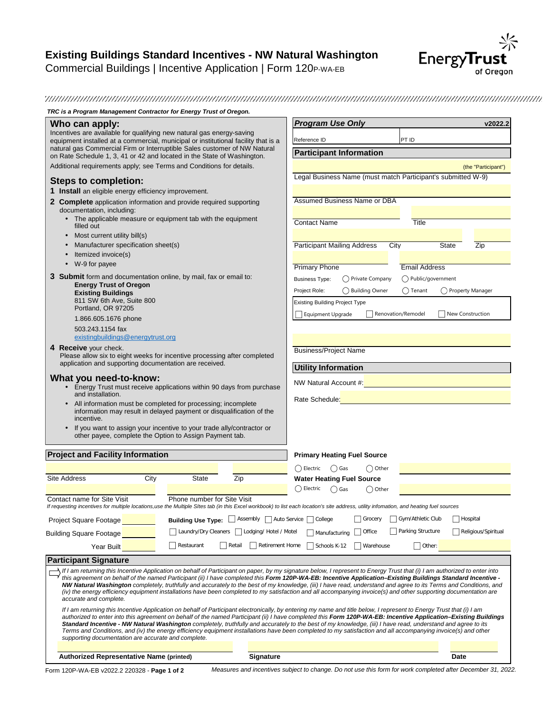

*TRC is a Program Management Contractor for Energy Trust of Oregon.*

| Who can apply:                                                                                                                                                                                                                                                                                                                                                                                                                                                                                                                                                                                                                                                                                                                  |                                                                                          |                           | <b>Program Use Only</b>                                                                                          |                   |                      | v2022.2                    |
|---------------------------------------------------------------------------------------------------------------------------------------------------------------------------------------------------------------------------------------------------------------------------------------------------------------------------------------------------------------------------------------------------------------------------------------------------------------------------------------------------------------------------------------------------------------------------------------------------------------------------------------------------------------------------------------------------------------------------------|------------------------------------------------------------------------------------------|---------------------------|------------------------------------------------------------------------------------------------------------------|-------------------|----------------------|----------------------------|
| Incentives are available for qualifying new natural gas energy-saving<br>equipment installed at a commercial, municipal or institutional facility that is a                                                                                                                                                                                                                                                                                                                                                                                                                                                                                                                                                                     |                                                                                          |                           | Reference ID                                                                                                     |                   | PT ID                |                            |
| natural gas Commercial Firm or Interruptible Sales customer of NW Natural<br>on Rate Schedule 1, 3, 41 or 42 and located in the State of Washington.                                                                                                                                                                                                                                                                                                                                                                                                                                                                                                                                                                            |                                                                                          |                           | <b>Participant Information</b>                                                                                   |                   |                      |                            |
| Additional requirements apply; see Terms and Conditions for details.                                                                                                                                                                                                                                                                                                                                                                                                                                                                                                                                                                                                                                                            |                                                                                          |                           |                                                                                                                  |                   |                      | (the "Participant")        |
| <b>Steps to completion:</b>                                                                                                                                                                                                                                                                                                                                                                                                                                                                                                                                                                                                                                                                                                     |                                                                                          |                           | Legal Business Name (must match Participant's submitted W-9)                                                     |                   |                      |                            |
| 1 Install an eligible energy efficiency improvement.                                                                                                                                                                                                                                                                                                                                                                                                                                                                                                                                                                                                                                                                            |                                                                                          |                           |                                                                                                                  |                   |                      |                            |
| 2 Complete application information and provide required supporting<br>documentation, including:                                                                                                                                                                                                                                                                                                                                                                                                                                                                                                                                                                                                                                 |                                                                                          |                           | Assumed Business Name or DBA                                                                                     |                   |                      |                            |
| • The applicable measure or equipment tab with the equipment<br>filled out                                                                                                                                                                                                                                                                                                                                                                                                                                                                                                                                                                                                                                                      |                                                                                          |                           | <b>Contact Name</b>                                                                                              |                   | Title                |                            |
| Most current utility bill(s)<br>$\bullet$                                                                                                                                                                                                                                                                                                                                                                                                                                                                                                                                                                                                                                                                                       |                                                                                          |                           |                                                                                                                  |                   |                      |                            |
| Manufacturer specification sheet(s)<br>Itemized invoice(s)<br>$\bullet$                                                                                                                                                                                                                                                                                                                                                                                                                                                                                                                                                                                                                                                         |                                                                                          |                           | <b>Participant Mailing Address</b>                                                                               |                   | City                 | <b>State</b><br><b>Zip</b> |
| W-9 for payee<br>$\bullet$                                                                                                                                                                                                                                                                                                                                                                                                                                                                                                                                                                                                                                                                                                      |                                                                                          |                           | <b>Primary Phone</b>                                                                                             |                   | <b>Email Address</b> |                            |
| <b>3 Submit</b> form and documentation online, by mail, fax or email to:                                                                                                                                                                                                                                                                                                                                                                                                                                                                                                                                                                                                                                                        |                                                                                          |                           | <b>Business Type:</b>                                                                                            | ◯ Private Company | ◯ Public/government  |                            |
| <b>Energy Trust of Oregon</b><br><b>Existing Buildings</b>                                                                                                                                                                                                                                                                                                                                                                                                                                                                                                                                                                                                                                                                      |                                                                                          |                           | Project Role:                                                                                                    | ◯ Building Owner  | $\bigcirc$ Tenant    | O Property Manager         |
| 811 SW 6th Ave, Suite 800                                                                                                                                                                                                                                                                                                                                                                                                                                                                                                                                                                                                                                                                                                       |                                                                                          |                           | <b>Existing Building Project Type</b>                                                                            |                   |                      |                            |
| Portland, OR 97205                                                                                                                                                                                                                                                                                                                                                                                                                                                                                                                                                                                                                                                                                                              |                                                                                          |                           | <b>Equipment Upgrade</b>                                                                                         |                   | Renovation/Remodel   | New Construction           |
| 1.866.605.1676 phone<br>503.243.1154 fax                                                                                                                                                                                                                                                                                                                                                                                                                                                                                                                                                                                                                                                                                        |                                                                                          |                           |                                                                                                                  |                   |                      |                            |
| existingbuildings@energytrust.org                                                                                                                                                                                                                                                                                                                                                                                                                                                                                                                                                                                                                                                                                               |                                                                                          |                           |                                                                                                                  |                   |                      |                            |
| 4 Receive your check.<br>Please allow six to eight weeks for incentive processing after completed<br>application and supporting documentation are received.                                                                                                                                                                                                                                                                                                                                                                                                                                                                                                                                                                     |                                                                                          |                           | <b>Business/Project Name</b>                                                                                     |                   |                      |                            |
|                                                                                                                                                                                                                                                                                                                                                                                                                                                                                                                                                                                                                                                                                                                                 |                                                                                          |                           | <b>Utility Information</b>                                                                                       |                   |                      |                            |
| What you need-to-know:                                                                                                                                                                                                                                                                                                                                                                                                                                                                                                                                                                                                                                                                                                          |                                                                                          |                           | NW Natural Account #: All and the state of the state of the state of the state of the state of the state of the  |                   |                      |                            |
| Energy Trust must receive applications within 90 days from purchase<br>$\bullet$<br>and installation.                                                                                                                                                                                                                                                                                                                                                                                                                                                                                                                                                                                                                           |                                                                                          |                           |                                                                                                                  |                   |                      |                            |
| All information must be completed for processing; incomplete<br>information may result in delayed payment or disqualification of the<br>incentive.                                                                                                                                                                                                                                                                                                                                                                                                                                                                                                                                                                              |                                                                                          |                           | Rate Schedule: William Schedule Schedule Schedule Schedule Schedule Schedule Schedule Schedule Schedule Schedule |                   |                      |                            |
| If you want to assign your incentive to your trade ally/contractor or<br>other payee, complete the Option to Assign Payment tab.                                                                                                                                                                                                                                                                                                                                                                                                                                                                                                                                                                                                |                                                                                          |                           |                                                                                                                  |                   |                      |                            |
| <b>Project and Facility Information</b>                                                                                                                                                                                                                                                                                                                                                                                                                                                                                                                                                                                                                                                                                         |                                                                                          |                           | <b>Primary Heating Fuel Source</b>                                                                               |                   |                      |                            |
|                                                                                                                                                                                                                                                                                                                                                                                                                                                                                                                                                                                                                                                                                                                                 |                                                                                          |                           | $\bigcirc$ Electric<br>◯ Gas                                                                                     |                   |                      |                            |
| Site Address<br>City                                                                                                                                                                                                                                                                                                                                                                                                                                                                                                                                                                                                                                                                                                            | State                                                                                    | Zip                       | <b>Water Heating Fuel Source</b>                                                                                 | ◯ Other           |                      |                            |
|                                                                                                                                                                                                                                                                                                                                                                                                                                                                                                                                                                                                                                                                                                                                 |                                                                                          |                           | ◯ Electric<br>$\bigcirc$ Gas                                                                                     | ◯ Other           |                      |                            |
| Contact name for Site Visit<br>If requesting incentives for multiple locations,use the Multiple SItes tab (in this Excel workbook) to list each location's site address, utility infomation, and heating fuel sources                                                                                                                                                                                                                                                                                                                                                                                                                                                                                                           | Phone number for Site Visit                                                              |                           |                                                                                                                  |                   |                      |                            |
| Project Square Footage                                                                                                                                                                                                                                                                                                                                                                                                                                                                                                                                                                                                                                                                                                          | Building Use Type: Sassembly Sauto Service Scollege Scrocery Scrow Athletic Club Servial |                           |                                                                                                                  |                   |                      |                            |
| <b>Building Square Footage</b>                                                                                                                                                                                                                                                                                                                                                                                                                                                                                                                                                                                                                                                                                                  | Laundry/Dry Cleaners   Lodging/ Hotel / Motel                                            |                           | Manufacturing Office                                                                                             |                   | Parking Structure    | Religious/Spiritual        |
| Year Built                                                                                                                                                                                                                                                                                                                                                                                                                                                                                                                                                                                                                                                                                                                      | Restaurant                                                                               | Retirement Home<br>Retail | Schools K-12                                                                                                     | Warehouse         | Other:               |                            |
|                                                                                                                                                                                                                                                                                                                                                                                                                                                                                                                                                                                                                                                                                                                                 |                                                                                          |                           |                                                                                                                  |                   |                      |                            |
| <b>Participant Signature</b><br>If I am returning this Incentive Application on behalf of Participant on paper, by my signature below, I represent to Energy Trust that (i) I am authorized to enter into                                                                                                                                                                                                                                                                                                                                                                                                                                                                                                                       |                                                                                          |                           |                                                                                                                  |                   |                      |                            |
| this agreement on behalf of the named Participant (ii) I have completed this Form 120P-WA-EB: Incentive Application-Existing Buildings Standard Incentive -<br>NW Natural Washington completely, truthfully and accurately to the best of my knowledge, (iii) I have read, understand and agree to its Terms and Conditions, and<br>(iv) the energy efficiency equipment installations have been completed to my satisfaction and all accompanying invoice(s) and other supporting documentation are<br>accurate and complete.                                                                                                                                                                                                  |                                                                                          |                           |                                                                                                                  |                   |                      |                            |
| If I am returning this Incentive Application on behalf of Participant electronically, by entering my name and title below, I represent to Energy Trust that (i) I am<br>authorized to enter into this agreement on behalf of the named Participant (ii) I have completed this Form 120P-WA-EB: Incentive Application-Existing Buildings<br>Standard Incentive - NW Natural Washington completely, truthfully and accurately to the best of my knowledge, (iii) I have read, understand and agree to its<br>Terms and Conditions, and (iv) the energy efficiency equipment installations have been completed to my satisfaction and all accompanying invoice(s) and other<br>supporting documentation are accurate and complete. |                                                                                          |                           |                                                                                                                  |                   |                      |                            |
| <b>Authorized Representative Name (printed)</b>                                                                                                                                                                                                                                                                                                                                                                                                                                                                                                                                                                                                                                                                                 |                                                                                          | <b>Signature</b>          |                                                                                                                  |                   |                      | Date                       |
|                                                                                                                                                                                                                                                                                                                                                                                                                                                                                                                                                                                                                                                                                                                                 |                                                                                          |                           |                                                                                                                  |                   |                      |                            |

Form 120P-WA-EB v2022.2 220328 - **Page 1 of 2** *Measures and incentives subject to change. Do not use this form for work completed after December 31, 2022.*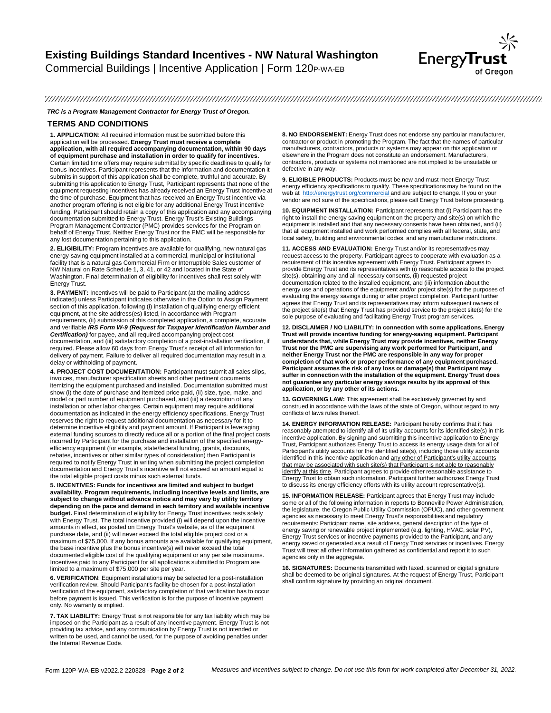

#### 

#### *TRC is a Program Management Contractor for Energy Trust of Oregon.*

### **TERMS AND CONDITIONS**

**1. APPLICATION**: All required information must be submitted before this application will be processed. **Energy Trust must receive a complete application, with all required accompanying documentation, within 90 days of equipment purchase and installation in order to qualify for incentives.**  Certain limited time offers may require submittal by specific deadlines to qualify for bonus incentives. Participant represents that the information and documentation it submits in support of this application shall be complete, truthful and accurate. By submitting this application to Energy Trust, Participant represents that none of the equipment requesting incentives has already received an Energy Trust incentive at the time of purchase. Equipment that has received an Energy Trust incentive via another program offering is not eligible for any additional Energy Trust incentive funding. Participant should retain a copy of this application and any accompanying documentation submitted to Energy Trust. Energy Trust's Existing Buildings Program Management Contractor (PMC) provides services for the Program on behalf of Energy Trust. Neither Energy Trust nor the PMC will be responsible for any lost documentation pertaining to this application.

**2. ELIGIBILITY:** Program incentives are available for qualifying, new natural gas energy-saving equipment installed at a commercial, municipal or institutional facility that is a natural gas Commercial Firm or Interruptible Sales customer of NW Natural on Rate Schedule 1, 3, 41, or 42 and located in the State of Washington. Final determination of eligibility for incentives shall rest solely with Energy Trust.

**3. PAYMENT:** Incentives will be paid to Participant (at the mailing address indicated) unless Participant indicates otherwise in the Option to Assign Payment section of this application, following (i) installation of qualifying energy efficient equipment, at the site address(es) listed, in accordance with Program requirements, (ii) submission of this completed application, a complete, accurate and verifiable *IRS Form W-9 (Request for Taxpayer Identification Number and Certification)* for payee, and all required accompanying project cost documentation, and (iii) satisfactory completion of a post-installation verification, if required. Please allow 60 days from Energy Trust's receipt of all information for delivery of payment. Failure to deliver all required documentation may result in a delay or withholding of payment.

**4. PROJECT COST DOCUMENTATION:** Participant must submit all sales slips, invoices, manufacturer specification sheets and other pertinent documents itemizing the equipment purchased and installed. Documentation submitted must show (i) the date of purchase and itemized price paid, (ii) size, type, make, and model or part number of equipment purchased, and (iii) a description of any installation or other labor charges. Certain equipment may require additional documentation as indicated in the energy efficiency specifications. Energy Trust reserves the right to request additional documentation as necessary for it to determine incentive eligibility and payment amount. If Participant is leveraging external funding sources to directly reduce all or a portion of the final project costs incurred by Participant for the purchase and installation of the specified energyefficiency equipment (for example, state/federal funding, grants, discounts, rebates, incentives or other similar types of consideration) then Participant is required to notify Energy Trust in writing when submitting the project completion documentation and Energy Trust's incentive will not exceed an amount equal to the total eligible project costs minus such external funds.

**5. INCENTIVES: Funds for incentives are limited and subject to budget availability. Program requirements, including incentive levels and limits, are subject to change without advance notice and may vary by utility territory depending on the pace and demand in each territory and available incentive budget.** Final determination of eligibility for Energy Trust incentives rests solely with Energy Trust. The total incentive provided (i) will depend upon the incentive amounts in effect, as posted on Energy Trust's website, as of the equipment purchase date, and (ii) will never exceed the total eligible project cost or a maximum of \$75,000. If any bonus amounts are available for qualifying equipment, the base incentive plus the bonus incentive(s) will never exceed the total documented eligible cost of the qualifying equipment or any per site maximums. Incentives paid to any Participant for all applications submitted to Program are limited to a maximum of \$75,000 per site per year.

**6. VERIFICATION**: Equipment installations may be selected for a post-installation verification review. Should Participant's facility be chosen for a post-installation verification of the equipment, satisfactory completion of that verification has to occur before payment is issued. This verification is for the purpose of incentive payment only. No warranty is implied.

**7. TAX LIABILITY:** Energy Trust is not responsible for any tax liability which may be imposed on the Participant as a result of any incentive payment. Energy Trust is not providing tax advice, and any communication by Energy Trust is not intended or written to be used, and cannot be used, for the purpose of avoiding penalties under the Internal Revenue Code.

**8. NO ENDORSEMENT:** Energy Trust does not endorse any particular manufacturer, contractor or product in promoting the Program. The fact that the names of particular manufacturers, contractors, products or systems may appear on this application or elsewhere in the Program does not constitute an endorsement. Manufacturers, contractors, products or systems not mentioned are not implied to be unsuitable or defective in any way.

**9. ELIGIBLE PRODUCTS:** Products must be new and must meet Energy Trust energy efficiency specifications to qualify. These specifications may be found on the<br>web at http://energytrust.org/commercial and are subject to change. If you or your vendor are not sure of the specifications, please call Energy Trust before proceeding.

**10. EQUIPMENT INSTALLATION:** Participant represents that (i) Participant has the right to install the energy saving equipment on the property and site(s) on which the equipment is installed and that any necessary consents have been obtained, and (ii) that all equipment installed and work performed complies with all federal, state, and local safety, building and environmental codes, and any manufacturer instructions.

**11. ACCESS AND EVALUATION:** Energy Trust and/or its representatives may request access to the property. Participant agrees to cooperate with evaluation as a requirement of this incentive agreement with Energy Trust. Participant agrees to provide Energy Trust and its representatives with (i) reasonable access to the project site(s), obtaining any and all necessary consents, (ii) requested project documentation related to the installed equipment, and (iii) information about the energy use and operations of the equipment and/or project site(s) for the purposes of evaluating the energy savings during or after project completion. Participant further agrees that Energy Trust and its representatives may inform subsequent owners of the project site(s) that Energy Trust has provided service to the project site(s) for the sole purpose of evaluating and facilitating Energy Trust program services.

**12. DISCLAIMER / NO LIABILITY: In connection with some applications, Energy Trust will provide incentive funding for energy-saving equipment. Participant understands that, while Energy Trust may provide incentives, neither Energy Trust nor the PMC are supervising any work performed for Participant, and neither Energy Trust nor the PMC are responsible in any way for proper completion of that work or proper performance of any equipment purchased. Participant assumes the risk of any loss or damage(s) that Participant may suffer in connection with the installation of the equipment. Energy Trust does not guarantee any particular energy savings results by its approval of this application, or by any other of its actions.**

**13. GOVERNING LAW:** This agreement shall be exclusively governed by and construed in accordance with the laws of the state of Oregon, without regard to any conflicts of laws rules thereof.

**14. ENERGY INFORMATION RELEASE:** Participant hereby confirms that it has reasonably attempted to identify all of its utility accounts for its identified site(s) in this incentive application. By signing and submitting this incentive application to Energy Trust, Participant authorizes Energy Trust to access its energy usage data for all of Participant's utility accounts for the identified site(s), including those utility accounts identified in this incentive application and any other of Participant's utility accounts that may be associated with such site(s) that Participant is not able to reasonably identify at this time. Participant agrees to provide other reasonable assistance to Energy Trust to obtain such information. Participant further authorizes Energy Trust to discuss its energy efficiency efforts with its utility account representative(s).

**15. INFORMATION RELEASE:** Participant agrees that Energy Trust may include some or all of the following information in reports to Bonneville Power Administration, the legislature, the Oregon Public Utility Commission (OPUC), and other government<br>agencies as necessary to meet Energy Trust's responsibilities and regulatory<br>requirements: Participant name, site address, general descript energy saving or renewable project implemented (e.g. lighting, HVAC, solar PV), Energy Trust services or incentive payments provided to the Participant, and any energy saved or generated as a result of Energy Trust services or incentives. Energy Trust will treat all other information gathered as confidential and report it to such agencies only in the aggregate.

**16. SIGNATURES:** Documents transmitted with faxed, scanned or digital signature shall be deemed to be original signatures. At the request of Energy Trust, Participant shall confirm signature by providing an original document.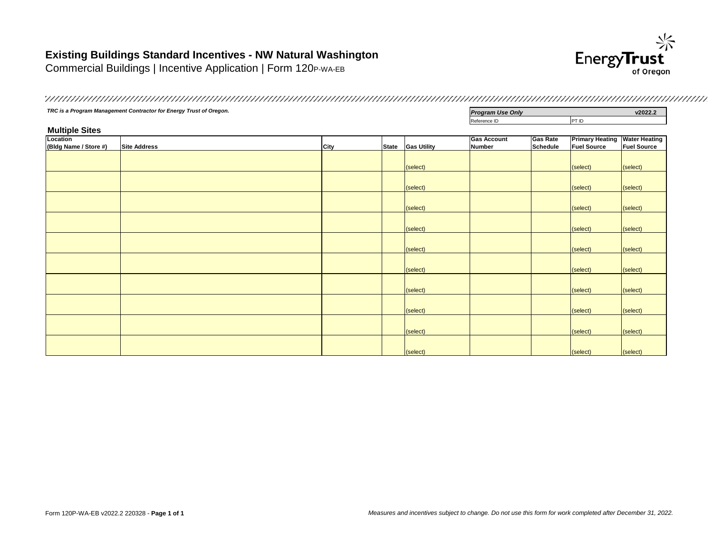### **Existing Buildings Standard Incentives - NW Natural Washington**

Commercial Buildings | Incentive Application | Form 120P-WA-EB



**TRC is a Program Management Contractor for Energy Trust of Oregon. Program Use Only <b>Program Use Only v2022.2** Reference ID PT ID **Multiple Sites Location (Bldg Name / Store #) Site Address City State Gas Utility Gas Account Number Gas Rate Schedule Primary Heating Water Heating Fuel Source Fuel Source** (select) (select) (select) (select) (select) (select) (select) (select) (select) (select) (select) (select) (select) (select) (select) (select) (select) (select) (select) (select) (select) (select) (select) (select) (select) (select) (select) (select) (select) (select)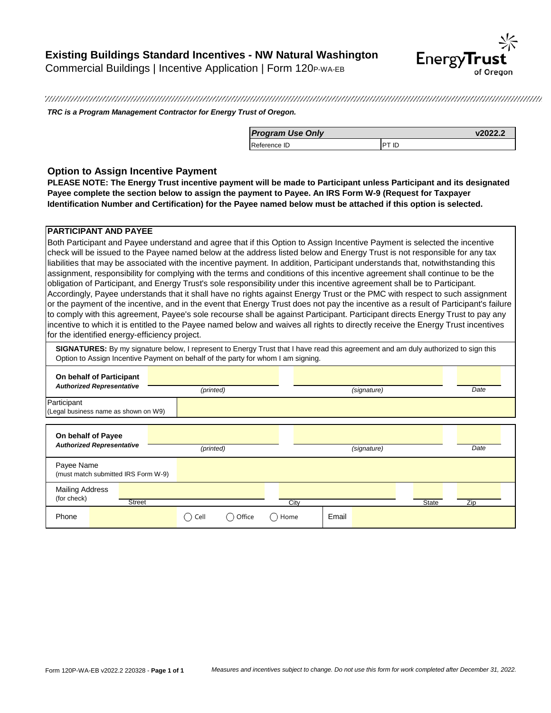

*TRC is a Program Management Contractor for Energy Trust of Oregon.*

| <b>Program Use Only</b> |  |
|-------------------------|--|
| Reference ID            |  |

### **Option to Assign Incentive Payment**

**PLEASE NOTE: The Energy Trust incentive payment will be made to Participant unless Participant and its designated Payee complete the section below to assign the payment to Payee. An IRS Form W-9 (Request for Taxpayer Identification Number and Certification) for the Payee named below must be attached if this option is selected.**

### **PARTICIPANT AND PAYEE**

Both Participant and Payee understand and agree that if this Option to Assign Incentive Payment is selected the incentive check will be issued to the Payee named below at the address listed below and Energy Trust is not responsible for any tax liabilities that may be associated with the incentive payment. In addition, Participant understands that, notwithstanding this assignment, responsibility for complying with the terms and conditions of this incentive agreement shall continue to be the obligation of Participant, and Energy Trust's sole responsibility under this incentive agreement shall be to Participant. Accordingly, Payee understands that it shall have no rights against Energy Trust or the PMC with respect to such assignment or the payment of the incentive, and in the event that Energy Trust does not pay the incentive as a result of Participant's failure to comply with this agreement, Payee's sole recourse shall be against Participant. Participant directs Energy Trust to pay any incentive to which it is entitled to the Payee named below and waives all rights to directly receive the Energy Trust incentives for the identified energy-efficiency project.

**SIGNATURES:** By my signature below, I represent to Energy Trust that I have read this agreement and am duly authorized to sign this Option to Assign Incentive Payment on behalf of the party for whom I am signing.

| On behalf of Participant<br><b>Authorized Representative</b> |               |      |           |      |      |       |             |              |     |      |
|--------------------------------------------------------------|---------------|------|-----------|------|------|-------|-------------|--------------|-----|------|
|                                                              |               |      | (printed) |      |      |       | (signature) |              |     | Date |
| Participant<br>(Legal business name as shown on W9)          |               |      |           |      |      |       |             |              |     |      |
| On behalf of Payee<br><b>Authorized Representative</b>       |               |      | (printed) |      |      |       | (signature) |              |     | Date |
| Payee Name<br>(must match submitted IRS Form W-9)            |               |      |           |      |      |       |             |              |     |      |
| <b>Mailing Address</b><br>(for check)                        | <b>Street</b> |      |           |      | City |       |             | <b>State</b> | Zip |      |
| Phone                                                        |               | Cell | Office    | Home |      | Email |             |              |     |      |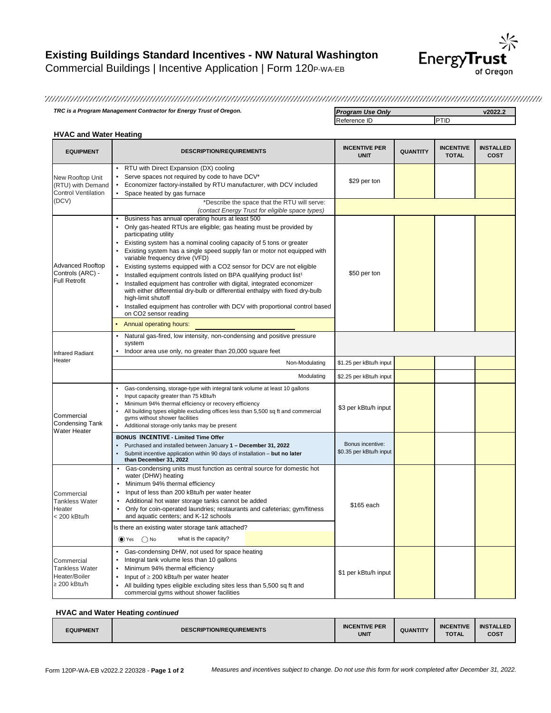

*TRC is a Program Management Contractor for Energy Trust of Oregon. Program Use Only* **v2022.2**

Reference ID PTID

### **HVAC and Water Heating**

| <b>EQUIPMENT</b>                                                             | <b>DESCRIPTION/REQUIREMENTS</b>                                                                                                                                                                                                                                                                                                                                                                                                                                                                                                                                                                                                                                                                                                                                                                                                                             | <b>INCENTIVE PER</b><br><b>UNIT</b>         | <b>QUANTITY</b> | <b>INCENTIVE</b><br><b>TOTAL</b> | <b>INSTALLED</b><br>COST |
|------------------------------------------------------------------------------|-------------------------------------------------------------------------------------------------------------------------------------------------------------------------------------------------------------------------------------------------------------------------------------------------------------------------------------------------------------------------------------------------------------------------------------------------------------------------------------------------------------------------------------------------------------------------------------------------------------------------------------------------------------------------------------------------------------------------------------------------------------------------------------------------------------------------------------------------------------|---------------------------------------------|-----------------|----------------------------------|--------------------------|
| New Rooftop Unit<br>(RTU) with Demand<br><b>Control Ventilation</b><br>(DCV) | RTU with Direct Expansion (DX) cooling<br>Serve spaces not required by code to have DCV*<br>Economizer factory-installed by RTU manufacturer, with DCV included<br>$\bullet$<br>$\bullet$<br>Space heated by gas furnace                                                                                                                                                                                                                                                                                                                                                                                                                                                                                                                                                                                                                                    | \$29 per ton                                |                 |                                  |                          |
|                                                                              | *Describe the space that the RTU will serve:<br>(contact Energy Trust for eligible space types)                                                                                                                                                                                                                                                                                                                                                                                                                                                                                                                                                                                                                                                                                                                                                             |                                             |                 |                                  |                          |
| <b>Advanced Rooftop</b><br>Controls (ARC) -<br><b>Full Retrofit</b>          | Business has annual operating hours at least 500<br>$\bullet$<br>Only gas-heated RTUs are eligible; gas heating must be provided by<br>participating utility<br>Existing system has a nominal cooling capacity of 5 tons or greater<br>$\bullet$<br>Existing system has a single speed supply fan or motor not equipped with<br>variable frequency drive (VFD)<br>Existing systems equipped with a CO2 sensor for DCV are not eligible<br>Installed equipment controls listed on BPA qualifying product list <sup>1</sup><br>$\bullet$<br>Installed equipment has controller with digital, integrated economizer<br>with either differential dry-bulb or differential enthalpy with fixed dry-bulb<br>high-limit shutoff<br>Installed equipment has controller with DCV with proportional control based<br>on CO2 sensor reading<br>Annual operating hours: | \$50 per ton                                |                 |                                  |                          |
| <b>Infrared Radiant</b>                                                      | Natural gas-fired, low intensity, non-condensing and positive pressure<br>$\bullet$<br>system<br>Indoor area use only, no greater than 20,000 square feet<br>$\bullet$                                                                                                                                                                                                                                                                                                                                                                                                                                                                                                                                                                                                                                                                                      |                                             |                 |                                  |                          |
| Heater                                                                       | Non-Modulating                                                                                                                                                                                                                                                                                                                                                                                                                                                                                                                                                                                                                                                                                                                                                                                                                                              | \$1.25 per kBtu/h input                     |                 |                                  |                          |
|                                                                              | Modulating                                                                                                                                                                                                                                                                                                                                                                                                                                                                                                                                                                                                                                                                                                                                                                                                                                                  | \$2.25 per kBtu/h input                     |                 |                                  |                          |
| Commercial<br><b>Condensing Tank</b>                                         | Gas-condensing, storage-type with integral tank volume at least 10 gallons<br>$\bullet$<br>$\bullet$<br>Input capacity greater than 75 kBtu/h<br>Minimum 94% thermal efficiency or recovery efficiency<br>All building types eligible excluding offices less than 5,500 sq ft and commercial<br>gyms without shower facilities<br>Additional storage-only tanks may be present                                                                                                                                                                                                                                                                                                                                                                                                                                                                              | \$3 per kBtu/h input                        |                 |                                  |                          |
| <b>Water Heater</b>                                                          | <b>BONUS INCENTIVE - Limited Time Offer</b><br>Purchased and installed between January 1 - December 31, 2022<br>$\bullet$<br>Submit incentive application within 90 days of installation - but no later<br>than December 31, 2022                                                                                                                                                                                                                                                                                                                                                                                                                                                                                                                                                                                                                           | Bonus incentive:<br>\$0.35 per kBtu/h input |                 |                                  |                          |
| Commercial<br><b>Tankless Water</b><br>Heater<br>< 200 kBtu/h                | Gas-condensing units must function as central source for domestic hot<br>$\bullet$<br>water (DHW) heating<br>Minimum 94% thermal efficiency<br>Input of less than 200 kBtu/h per water heater<br>Additional hot water storage tanks cannot be added<br>Only for coin-operated laundries; restaurants and cafeterias; gym/fitness<br>and aquatic centers; and K-12 schools<br>Is there an existing water storage tank attached?<br>what is the capacity?<br>$\bigcirc$ Yes $\bigcirc$ No                                                                                                                                                                                                                                                                                                                                                                     | \$165 each                                  |                 |                                  |                          |
| Commercial<br><b>Tankless Water</b><br>Heater/Boiler<br>$\geq 200$ kBtu/h    | Gas-condensing DHW, not used for space heating<br>Integral tank volume less than 10 gallons<br>٠<br>Minimum 94% thermal efficiency<br>$\bullet$<br>Input of $\geq 200$ kBtu/h per water heater<br>All building types eligible excluding sites less than 5,500 sq ft and<br>$\bullet$<br>commercial gyms without shower facilities                                                                                                                                                                                                                                                                                                                                                                                                                                                                                                                           | \$1 per kBtu/h input                        |                 |                                  |                          |

#### **HVAC and Water Heating** *continued*

| <b>DESCRIPTION/REQUIREMENTS</b> | <b>INCENTIVE PER</b> | <b>QUANTITY</b> | <b>INCENTIVE</b> | <b>INSTALLED</b> |
|---------------------------------|----------------------|-----------------|------------------|------------------|
| <b>EQUIPMENT</b>                | <b>UNIT</b>          |                 | <b>TOTAL</b>     | <b>COST</b>      |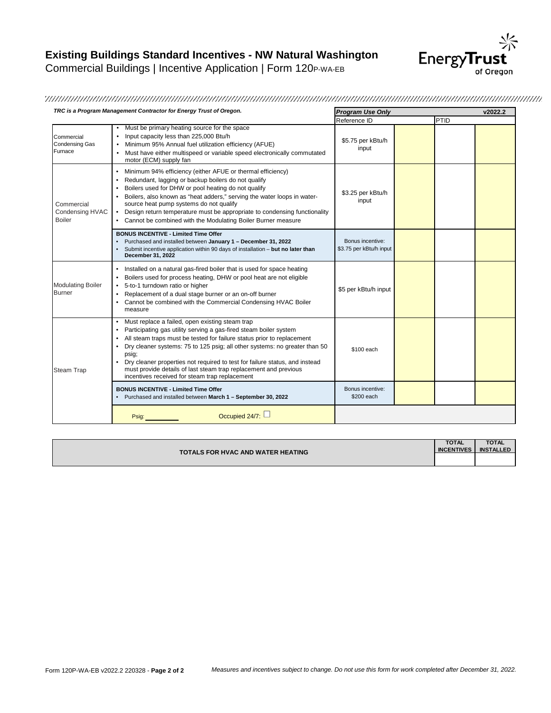

### 

| TRC is a Program Management Contractor for Energy Trust of Oregon. |                                                                                                                                                                                                                                                                                                                                                                                                                                                                                                                                     | <b>Program Use Only</b>                     |      | v2022.2 |  |
|--------------------------------------------------------------------|-------------------------------------------------------------------------------------------------------------------------------------------------------------------------------------------------------------------------------------------------------------------------------------------------------------------------------------------------------------------------------------------------------------------------------------------------------------------------------------------------------------------------------------|---------------------------------------------|------|---------|--|
|                                                                    |                                                                                                                                                                                                                                                                                                                                                                                                                                                                                                                                     | Reference ID                                | PTID |         |  |
| Commercial<br><b>Condensing Gas</b><br>Furnace                     | • Must be primary heating source for the space<br>Input capacity less than 225,000 Btu/h<br>٠<br>Minimum 95% Annual fuel utilization efficiency (AFUE)<br>Must have either multispeed or variable speed electronically commutated<br>motor (ECM) supply fan                                                                                                                                                                                                                                                                         | \$5.75 per kBtu/h<br>input                  |      |         |  |
| Commercial<br>Condensing HVAC<br><b>Boiler</b>                     | Minimum 94% efficiency (either AFUE or thermal efficiency)<br>$\bullet$<br>Redundant, lagging or backup boilers do not qualify<br>Boilers used for DHW or pool heating do not qualify<br>Boilers, also known as "heat adders," serving the water loops in water-<br>source heat pump systems do not qualify<br>Design return temperature must be appropriate to condensing functionality<br>Cannot be combined with the Modulating Boiler Burner measure<br>$\bullet$                                                               | \$3.25 per kBtu/h<br>input                  |      |         |  |
|                                                                    | <b>BONUS INCENTIVE - Limited Time Offer</b><br>Purchased and installed between January 1 - December 31, 2022<br>Submit incentive application within 90 days of installation - but no later than<br>December 31, 2022                                                                                                                                                                                                                                                                                                                | Bonus incentive:<br>\$3.75 per kBtu/h input |      |         |  |
| <b>Modulating Boiler</b><br><b>Burner</b>                          | Installed on a natural gas-fired boiler that is used for space heating<br>$\bullet$<br>Boilers used for process heating, DHW or pool heat are not eligible<br>$\bullet$<br>5-to-1 turndown ratio or higher<br>$\bullet$<br>Replacement of a dual stage burner or an on-off burner<br>$\bullet$<br>Cannot be combined with the Commercial Condensing HVAC Boiler<br>measure                                                                                                                                                          | \$5 per kBtu/h input                        |      |         |  |
| <b>Steam Trap</b>                                                  | Must replace a failed, open existing steam trap<br>$\bullet$<br>Participating gas utility serving a gas-fired steam boiler system<br>٠<br>All steam traps must be tested for failure status prior to replacement<br>٠<br>Dry cleaner systems: 75 to 125 psig; all other systems: no greater than 50<br>٠<br>psig;<br>Dry cleaner properties not required to test for failure status, and instead<br>$\bullet$<br>must provide details of last steam trap replacement and previous<br>incentives received for steam trap replacement | \$100 each                                  |      |         |  |
|                                                                    | <b>BONUS INCENTIVE - Limited Time Offer</b><br>Purchased and installed between March 1 - September 30, 2022                                                                                                                                                                                                                                                                                                                                                                                                                         | Bonus incentive:<br>\$200 each              |      |         |  |
|                                                                    | Occupied 24/7:<br>Psig:                                                                                                                                                                                                                                                                                                                                                                                                                                                                                                             |                                             |      |         |  |

|                                          | <b>TOTAL</b>      | <b>TOTAL</b>     |
|------------------------------------------|-------------------|------------------|
| <b>TOTALS FOR HVAC AND WATER HEATING</b> | <b>INCENTIVES</b> | <b>INSTALLED</b> |
|                                          |                   |                  |
|                                          |                   |                  |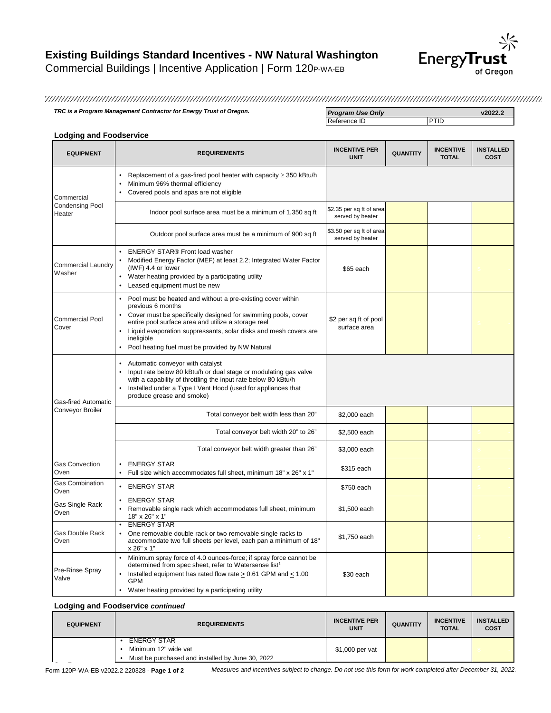

*TRC is a Program Management Contractor for Energy Trust of Oregon.* **<b>Program Use Only Program Use Only v2022.2**<br>Reference ID **PTID** 

Reference ID

### **Lodging and Foodservice**

| <b>EQUIPMENT</b>                    | <b>REQUIREMENTS</b>                                                                                                                                                                                                                                                                                                                            | <b>INCENTIVE PER</b><br><b>UNIT</b>          | <b>QUANTITY</b> | <b>INCENTIVE</b><br><b>TOTAL</b> | <b>INSTALLED</b><br><b>COST</b> |
|-------------------------------------|------------------------------------------------------------------------------------------------------------------------------------------------------------------------------------------------------------------------------------------------------------------------------------------------------------------------------------------------|----------------------------------------------|-----------------|----------------------------------|---------------------------------|
| Commercial                          | Replacement of a gas-fired pool heater with capacity $\geq$ 350 kBtu/h<br>Minimum 96% thermal efficiency<br>Covered pools and spas are not eligible                                                                                                                                                                                            |                                              |                 |                                  |                                 |
| <b>Condensing Pool</b><br>Heater    | Indoor pool surface area must be a minimum of 1,350 sq ft                                                                                                                                                                                                                                                                                      | \$2.35 per sq ft of area<br>served by heater |                 |                                  |                                 |
|                                     | Outdoor pool surface area must be a minimum of 900 sq ft                                                                                                                                                                                                                                                                                       | \$3.50 per sq ft of area<br>served by heater |                 |                                  |                                 |
| <b>Commercial Laundry</b><br>Washer | <b>ENERGY STAR® Front load washer</b><br>Modified Energy Factor (MEF) at least 2.2; Integrated Water Factor<br>(IWF) 4.4 or lower<br>Water heating provided by a participating utility<br>Leased equipment must be new                                                                                                                         | \$65 each                                    |                 |                                  |                                 |
| <b>Commercial Pool</b><br>Cover     | Pool must be heated and without a pre-existing cover within<br>previous 6 months<br>Cover must be specifically designed for swimming pools, cover<br>entire pool surface area and utilize a storage reel<br>Liquid evaporation suppressants, solar disks and mesh covers are<br>ineligible<br>Pool heating fuel must be provided by NW Natural | \$2 per sq ft of pool<br>surface area        |                 |                                  |                                 |
| <b>Gas-fired Automatic</b>          | Automatic conveyor with catalyst<br>Input rate below 80 kBtu/h or dual stage or modulating gas valve<br>with a capability of throttling the input rate below 80 kBtu/h<br>Installed under a Type I Vent Hood (used for appliances that<br>produce grease and smoke)                                                                            |                                              |                 |                                  |                                 |
| Conveyor Broiler                    | Total conveyor belt width less than 20"                                                                                                                                                                                                                                                                                                        | \$2,000 each                                 |                 |                                  |                                 |
|                                     | Total conveyor belt width 20" to 26"                                                                                                                                                                                                                                                                                                           | \$2,500 each                                 |                 |                                  |                                 |
|                                     | Total conveyor belt width greater than 26"                                                                                                                                                                                                                                                                                                     | \$3,000 each                                 |                 |                                  |                                 |
| <b>Gas Convection</b><br>Oven       | <b>ENERGY STAR</b><br>Full size which accommodates full sheet, minimum 18" x 26" x 1"                                                                                                                                                                                                                                                          | \$315 each                                   |                 |                                  |                                 |
| <b>Gas Combination</b><br>Oven      | <b>ENERGY STAR</b><br>$\bullet$                                                                                                                                                                                                                                                                                                                | \$750 each                                   |                 |                                  |                                 |
| Gas Single Rack<br>Oven             | <b>ENERGY STAR</b><br>Removable single rack which accommodates full sheet, minimum<br>18" x 26" x 1"                                                                                                                                                                                                                                           | \$1,500 each                                 |                 |                                  |                                 |
| <b>Gas Double Rack</b><br>Oven      | <b>ENERGY STAR</b><br>One removable double rack or two removable single racks to<br>accommodate two full sheets per level, each pan a minimum of 18"<br>x 26" x 1"                                                                                                                                                                             | \$1,750 each                                 |                 |                                  |                                 |
| Pre-Rinse Spray<br>Valve            | Minimum spray force of 4.0 ounces-force; if spray force cannot be<br>determined from spec sheet, refer to Watersense list <sup>1</sup><br>Installed equipment has rated flow rate > 0.61 GPM and < 1.00<br><b>GPM</b><br>Water heating provided by a participating utility                                                                     | \$30 each                                    |                 |                                  |                                 |

**Lodging and Foodservice** *continued*

| <b>EQUIPMENT</b> | <b>REQUIREMENTS</b>                              | <b>INCENTIVE PER</b><br><b>UNIT</b> | <b>QUANTITY</b> | <b>INCENTIVE</b><br><b>TOTAL</b> | <b>INSTALLED</b><br><b>COST</b> |
|------------------|--------------------------------------------------|-------------------------------------|-----------------|----------------------------------|---------------------------------|
|                  | <b>ENERGY STAR</b>                               |                                     |                 |                                  |                                 |
|                  | Minimum 12" wide vat                             | \$1,000 per vat                     |                 |                                  |                                 |
|                  | Must be purchased and installed by June 30, 2022 |                                     |                 |                                  |                                 |

Measures and incentives subject to change. Do not use this form for work completed after December 31, 2022.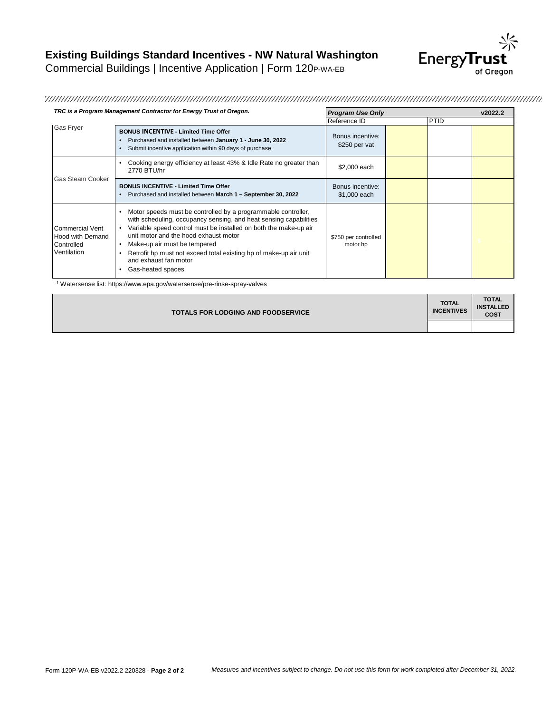

| TRC is a Program Management Contractor for Energy Trust of Oregon.             |                                                                                                                                                                                                                                                                                                                                                                                                    | <b>Program Use Only</b>           |  |      | v2022.2 |
|--------------------------------------------------------------------------------|----------------------------------------------------------------------------------------------------------------------------------------------------------------------------------------------------------------------------------------------------------------------------------------------------------------------------------------------------------------------------------------------------|-----------------------------------|--|------|---------|
|                                                                                |                                                                                                                                                                                                                                                                                                                                                                                                    | Reference ID                      |  | PTID |         |
| <b>Gas Fryer</b>                                                               | <b>BONUS INCENTIVE - Limited Time Offer</b><br>Purchased and installed between January 1 - June 30, 2022<br>Submit incentive application within 90 days of purchase                                                                                                                                                                                                                                | Bonus incentive:<br>\$250 per vat |  |      |         |
| <b>Gas Steam Cooker</b>                                                        | Cooking energy efficiency at least 43% & Idle Rate no greater than<br>2770 BTU/hr                                                                                                                                                                                                                                                                                                                  | \$2,000 each                      |  |      |         |
|                                                                                | <b>BONUS INCENTIVE - Limited Time Offer</b><br>Purchased and installed between March 1 - September 30, 2022                                                                                                                                                                                                                                                                                        | Bonus incentive:<br>\$1,000 each  |  |      |         |
| <b>Commercial Vent</b><br><b>Hood with Demand</b><br>Controlled<br>Ventilation | Motor speeds must be controlled by a programmable controller,<br>with scheduling, occupancy sensing, and heat sensing capabilities<br>Variable speed control must be installed on both the make-up air<br>unit motor and the hood exhaust motor<br>Make-up air must be tempered<br>Retrofit hp must not exceed total existing hp of make-up air unit<br>and exhaust fan motor<br>Gas-heated spaces | \$750 per controlled<br>motor hp  |  |      |         |

<sup>1</sup> Watersense list: https://www.epa.gov/watersense/pre-rinse-spray-valves

| <b>TOTALS FOR LODGING AND FOODSERVICE</b> | <b>TOTAL</b><br><b>INCENTIVES</b> | <b>TOTAL</b><br><b>INSTALLED</b><br><b>COST</b> |
|-------------------------------------------|-----------------------------------|-------------------------------------------------|
|                                           |                                   |                                                 |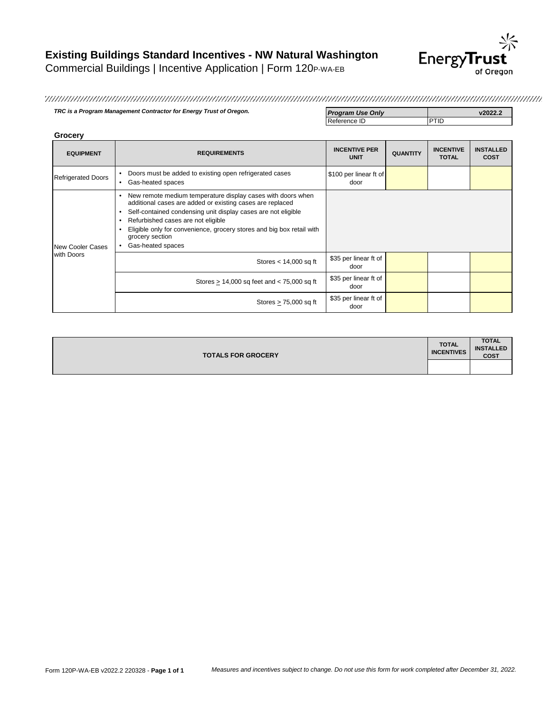

**TRC is a Program Management Contractor for Energy Trust of Oregon. Program Use Only Program Use Only v2022.2**<br>Reference ID **PTID** Reference ID

| Grocery                        |                                                                                                                                                                                                                                                                                                                                                                              |                                     |                 |                                  |                                 |
|--------------------------------|------------------------------------------------------------------------------------------------------------------------------------------------------------------------------------------------------------------------------------------------------------------------------------------------------------------------------------------------------------------------------|-------------------------------------|-----------------|----------------------------------|---------------------------------|
| <b>EQUIPMENT</b>               | <b>REQUIREMENTS</b>                                                                                                                                                                                                                                                                                                                                                          | <b>INCENTIVE PER</b><br><b>UNIT</b> | <b>QUANTITY</b> | <b>INCENTIVE</b><br><b>TOTAL</b> | <b>INSTALLED</b><br><b>COST</b> |
| <b>Refrigerated Doors</b>      | Doors must be added to existing open refrigerated cases<br>$\bullet$<br>Gas-heated spaces<br>٠                                                                                                                                                                                                                                                                               | \$100 per linear ft of<br>door      |                 |                                  |                                 |
| New Cooler Cases<br>with Doors | New remote medium temperature display cases with doors when<br>$\bullet$<br>additional cases are added or existing cases are replaced<br>Self-contained condensing unit display cases are not eligible<br>٠<br>Refurbished cases are not eligible<br>٠<br>Eligible only for convenience, grocery stores and big box retail with<br>٠<br>grocery section<br>Gas-heated spaces |                                     |                 |                                  |                                 |
|                                | Stores $<$ 14,000 sq ft                                                                                                                                                                                                                                                                                                                                                      | \$35 per linear ft of<br>door       |                 |                                  |                                 |
|                                | Stores > 14,000 sq feet and < 75,000 sq ft                                                                                                                                                                                                                                                                                                                                   | \$35 per linear ft of<br>door       |                 |                                  |                                 |
|                                | Stores $> 75,000$ sq ft                                                                                                                                                                                                                                                                                                                                                      | \$35 per linear ft of<br>door       |                 |                                  |                                 |

| <b>TOTALS FOR GROCERY</b> | <b>TOTAL</b><br><b>INCENTIVES</b> | <b>TOTAL</b><br><b>INSTALLED</b><br><b>COST</b> |
|---------------------------|-----------------------------------|-------------------------------------------------|
|                           |                                   |                                                 |